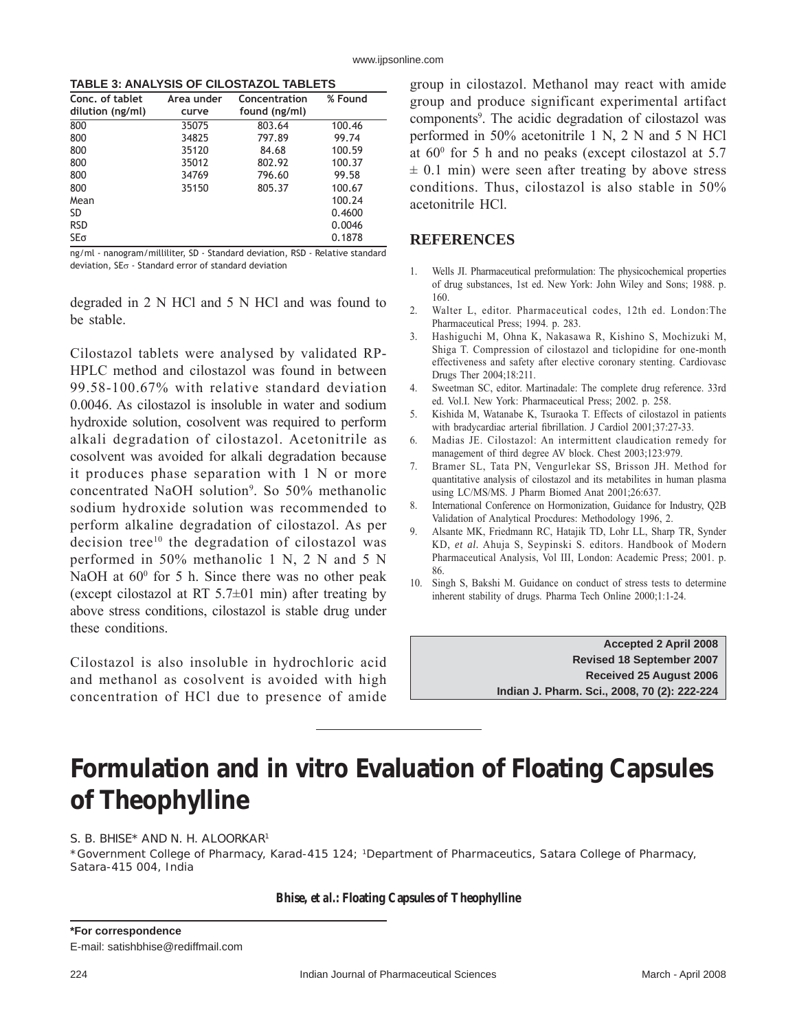# **Formulation and** *in vitro* **Evaluation of Floating Capsules of Theophylline**

### S. B. BHISE\* AND N. H. ALOORKAR1

\*Government College of Pharmacy, Karad-415 124; 1Department of Pharmaceutics, Satara College of Pharmacy, Satara-415 004, India

**Bhise,** *et al.***: Floating Capsules of Theophylline**

**\*For correspondence**

E-mail: satishbhise@rediffmail.com

224 Indian Journal of Pharmaceutical Sciences March - April 2008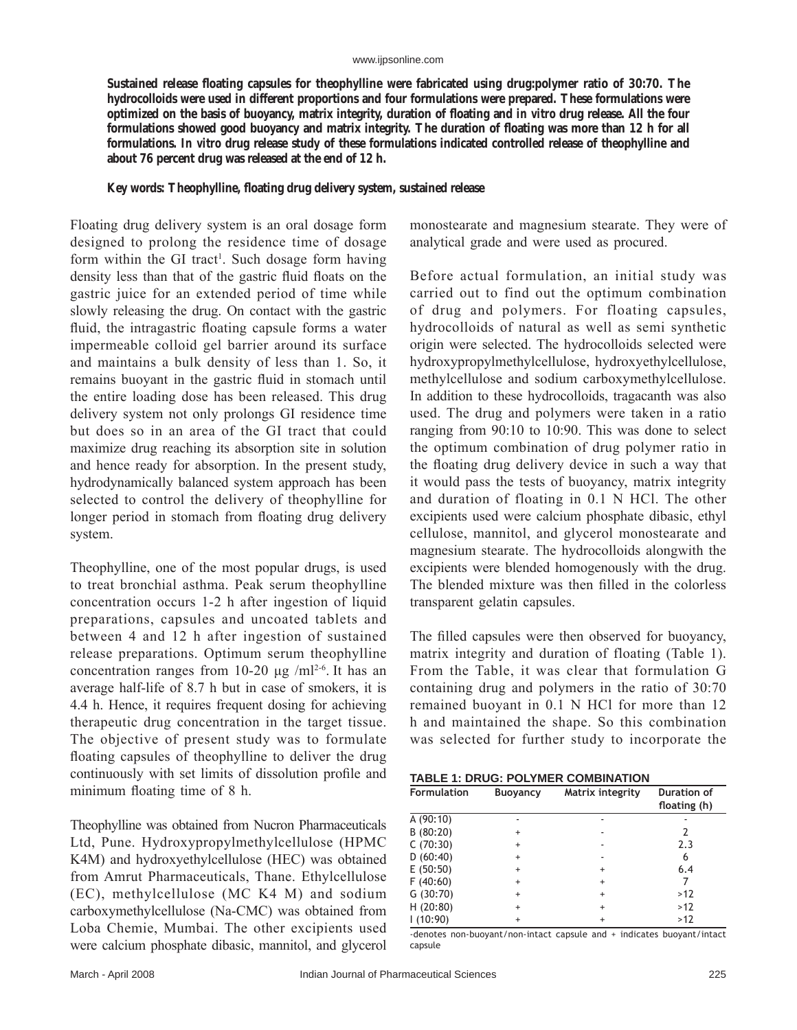Sustained release floating capsules for theophylline were fabricated using drug:polymer ratio of 30:70. The **hydrocolloids were used in different proportions and four formulations were prepared. These formulations were optimized on the basis of buoyancy, matrix integrity, duration of floating and** *in vitro* **drug release. All the four** formulations showed good buoyancy and matrix integrity. The duration of floating was more than 12 h for all **formulations.** *In vitro* **drug release study of these formulations indicated controlled release of theophylline and about 76 percent drug was released at the end of 12 h.**

## Key words: Theophylline, floating drug delivery system, sustained release

Floating drug delivery system is an oral dosage form designed to prolong the residence time of dosage form within the GI tract<sup>1</sup>. Such dosage form having density less than that of the gastric fluid floats on the gastric juice for an extended period of time while slowly releasing the drug. On contact with the gastric fluid, the intragastric floating capsule forms a water impermeable colloid gel barrier around its surface and maintains a bulk density of less than 1. So, it remains buoyant in the gastric fluid in stomach until the entire loading dose has been released. This drug delivery system not only prolongs GI residence time but does so in an area of the GI tract that could maximize drug reaching its absorption site in solution and hence ready for absorption. In the present study, hydrodynamically balanced system approach has been selected to control the delivery of theophylline for longer period in stomach from floating drug delivery system.

Theophylline, one of the most popular drugs, is used to treat bronchial asthma. Peak serum theophylline concentration occurs 1-2 h after ingestion of liquid preparations, capsules and uncoated tablets and between 4 and 12 h after ingestion of sustained release preparations. Optimum serum theophylline concentration ranges from 10-20  $\mu$ g /ml<sup>2-6</sup>. It has an average half-life of 8.7 h but in case of smokers, it is 4.4 h. Hence, it requires frequent dosing for achieving therapeutic drug concentration in the target tissue. The objective of present study was to formulate floating capsules of theophylline to deliver the drug continuously with set limits of dissolution profile and minimum floating time of 8 h.

Theophylline was obtained from Nucron Pharmaceuticals Ltd, Pune. Hydroxypropylmethylcellulose (HPMC K4M) and hydroxyethylcellulose (HEC) was obtained from Amrut Pharmaceuticals, Thane. Ethylcellulose (EC), methylcellulose (MC K4 M) and sodium carboxymethylcellulose (Na-CMC) was obtained from Loba Chemie, Mumbai. The other excipients used were calcium phosphate dibasic, mannitol, and glycerol

monostearate and magnesium stearate. They were of analytical grade and were used as procured.

Before actual formulation, an initial study was carried out to find out the optimum combination of drug and polymers. For floating capsules, hydrocolloids of natural as well as semi synthetic origin were selected. The hydrocolloids selected were hydroxypropylmethylcellulose, hydroxyethylcellulose, methylcellulose and sodium carboxymethylcellulose. In addition to these hydrocolloids, tragacanth was also used. The drug and polymers were taken in a ratio ranging from 90:10 to 10:90. This was done to select the optimum combination of drug polymer ratio in the floating drug delivery device in such a way that it would pass the tests of buoyancy, matrix integrity and duration of floating in 0.1 N HCl. The other excipients used were calcium phosphate dibasic, ethyl cellulose, mannitol, and glycerol monostearate and magnesium stearate. The hydrocolloids alongwith the excipients were blended homogenously with the drug. The blended mixture was then filled in the colorless transparent gelatin capsules.

The filled capsules were then observed for buoyancy, matrix integrity and duration of floating (Table 1). From the Table, it was clear that formulation G containing drug and polymers in the ratio of 30:70 remained buoyant in 0.1 N HCl for more than 12 h and maintained the shape. So this combination was selected for further study to incorporate the

| <b>TABLE 1: DRUG: POLYMER COMBINATION</b> |  |  |  |  |
|-------------------------------------------|--|--|--|--|
|-------------------------------------------|--|--|--|--|

| <b>Formulation</b> | <b>Buoyancy</b> | Matrix integrity | <b>Duration of</b><br>floating (h) |
|--------------------|-----------------|------------------|------------------------------------|
| A(90:10)           |                 |                  |                                    |
| B(80:20)           | $\ddot{}$       |                  | 2                                  |
| C(70:30)           | $\ddot{}$       |                  | 2.3                                |
| D(60:40)           | $\ddot{}$       |                  | 6                                  |
| E(50:50)           | $\ddot{}$       | $\ddot{}$        | 6.4                                |
| F(40:60)           | $\ddot{}$       | $\ddot{}$        |                                    |
| G(30:70)           | $\ddot{}$       | $\ddot{}$        | >12                                |
| H(20:80)           | $\ddot{}$       | $\ddot{}$        | >12                                |
| 1(10:90)           | $+$             | $+$              | >12                                |

-denotes non-buoyant/non-intact capsule and + indicates buoyant/intact capsule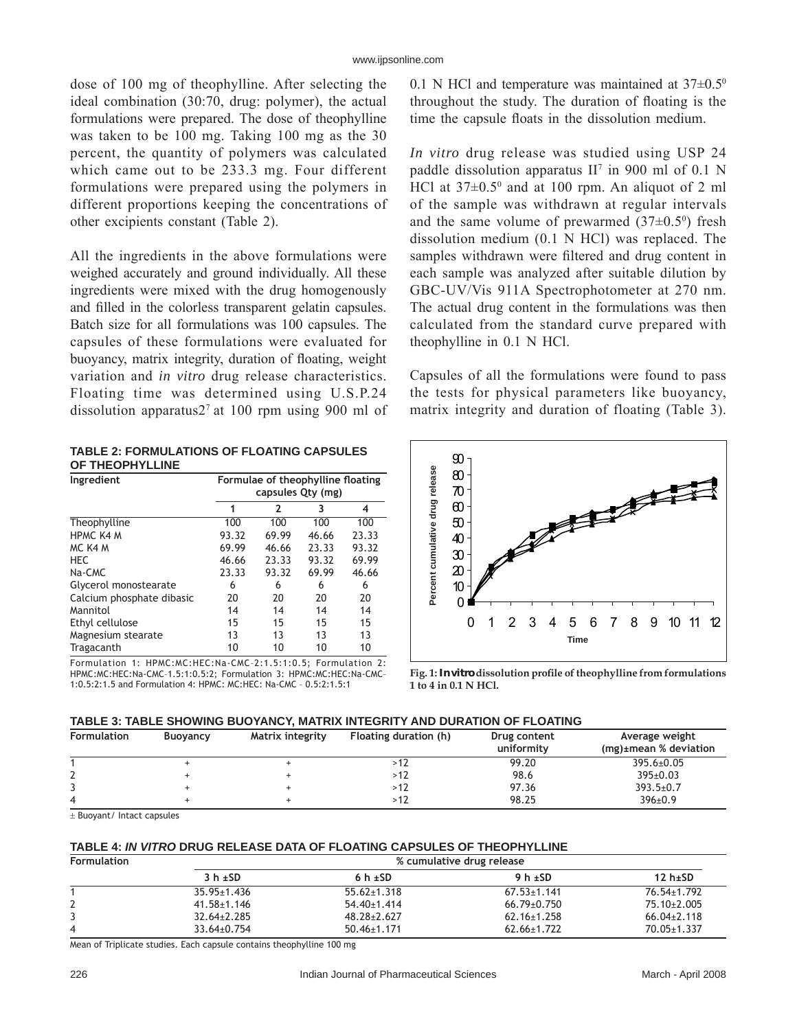dose of 100 mg of theophylline. After selecting the ideal combination (30:70, drug: polymer), the actual formulations were prepared. The dose of theophylline was taken to be 100 mg. Taking 100 mg as the 30 percent, the quantity of polymers was calculated which came out to be 233.3 mg. Four different formulations were prepared using the polymers in different proportions keeping the concentrations of other excipients constant (Table 2).

All the ingredients in the above formulations were weighed accurately and ground individually. All these ingredients were mixed with the drug homogenously and filled in the colorless transparent gelatin capsules. Batch size for all formulations was 100 capsules. The capsules of these formulations were evaluated for buoyancy, matrix integrity, duration of floating, weight variation and *in vitro* drug release characteristics. Floating time was determined using U.S.P.24 dissolution apparatus $2<sup>7</sup>$  at 100 rpm using 900 ml of

| <b>TABLE 2: FORMULATIONS OF FLOATING CAPSULES</b> |
|---------------------------------------------------|
| OF THEOPHYLLINE                                   |

| Ingredient                | Formulae of theophylline floating<br>capsules Qty (mg) |       |       |       |
|---------------------------|--------------------------------------------------------|-------|-------|-------|
|                           | 1                                                      | 2     | 3     | 4     |
| Theophylline              | 100                                                    | 100   | 100   | 100   |
| <b>HPMC K4 M</b>          | 93.32                                                  | 69.99 | 46.66 | 23.33 |
| MC K4 M                   | 69.99                                                  | 46.66 | 23.33 | 93.32 |
| <b>HEC</b>                | 46.66                                                  | 23.33 | 93.32 | 69.99 |
| Na-CMC                    | 23.33                                                  | 93.32 | 69.99 | 46.66 |
| Glycerol monostearate     | 6                                                      | 6     | 6     | 6     |
| Calcium phosphate dibasic | 20                                                     | 20    | 20    | 20    |
| Mannitol                  | 14                                                     | 14    | 14    | 14    |
| Ethyl cellulose           | 15                                                     | 15    | 15    | 15    |
| Magnesium stearate        | 13                                                     | 13    | 13    | 13    |
| Tragacanth                | 10                                                     | 10    | 10    | 10    |

Formulation 1: HPMC:MC:HEC:Na-CMC-2:1.5:1:0.5; Formulation 2: HPMC:MC:HEC:Na-CMC-1.5:1:0.5:2; Formulation 3: HPMC:MC:HEC:Na-CMC-1:0.5:2:1.5 and Formulation 4: HPMC: MC:HEC: Na-CMC - 0.5:2:1.5:1

0.1 N HCl and temperature was maintained at  $37\pm0.5^{\circ}$ throughout the study. The duration of floating is the time the capsule floats in the dissolution medium.

*In vitro* drug release was studied using USP 24 paddle dissolution apparatus  $II^7$  in 900 ml of 0.1 N HCl at  $37\pm0.5^{\circ}$  and at 100 rpm. An aliquot of 2 ml of the sample was withdrawn at regular intervals and the same volume of prewarmed  $(37\pm0.5^{\circ})$  fresh dissolution medium (0.1 N HCl) was replaced. The samples withdrawn were filtered and drug content in each sample was analyzed after suitable dilution by GBC-UV/Vis 911A Spectrophotometer at 270 nm. The actual drug content in the formulations was then calculated from the standard curve prepared with theophylline in 0.1 N HCl.

Capsules of all the formulations were found to pass the tests for physical parameters like buoyancy, matrix integrity and duration of floating (Table 3).



Fig. 1: *In vitro* dissolution profile of theophylline from formulations **1 to 4 in 0.1 N HCl.**

## **TABLE 3: TABLE SHOWING BUOYANCY, MATRIX INTEGRITY AND DURATION OF FLOATING**

| <b>Formulation</b> | <b>Buoyancy</b> | Matrix integrity | Floating duration (h) | Drug content<br>uniformity | Average weight<br>$(mg)$ ±mean % deviation |
|--------------------|-----------------|------------------|-----------------------|----------------------------|--------------------------------------------|
|                    |                 |                  | > I 4                 | 99.20                      | $395.6 \pm 0.05$                           |
|                    |                 |                  | >12                   | 98.6                       | $395 \pm 0.03$                             |
|                    |                 |                  | >12                   | 97.36                      | $393.5 \pm 0.7$                            |
|                    |                 |                  | 12                    | 98.25                      | $396 \pm 0.9$                              |

± Buoyant/ Intact capsules

#### **TABLE 4:** *IN VITRO* **DRUG RELEASE DATA OF FLOATING CAPSULES OF THEOPHYLLINE**

| <b>Formulation</b> | % cumulative drug release |                   |                   |                 |  |
|--------------------|---------------------------|-------------------|-------------------|-----------------|--|
|                    | $3 h + SD$                | 6 h $\pm$ SD      | 9 h $\pm$ SD      | 12 $h\pm SD$    |  |
|                    | $35.95 \pm 1.436$         | $55.62 \pm 1.318$ | $67.53 \pm 1.141$ | 76.54±1.792     |  |
| Ź.                 | $41.58 \pm 1.146$         | $54.40 \pm 1.414$ | $66.79 \pm 0.750$ | 75.10±2.005     |  |
|                    | $32.64 \pm 2.285$         | $48.28 \pm 2.627$ | $62.16 \pm 1.258$ | $66.04\pm2.118$ |  |
| 4                  | $33.64 \pm 0.754$         | $50.46 \pm 1.171$ | $62.66 \pm 1.722$ | 70.05±1.337     |  |

Mean of Triplicate studies. Each capsule contains theophylline 100 mg